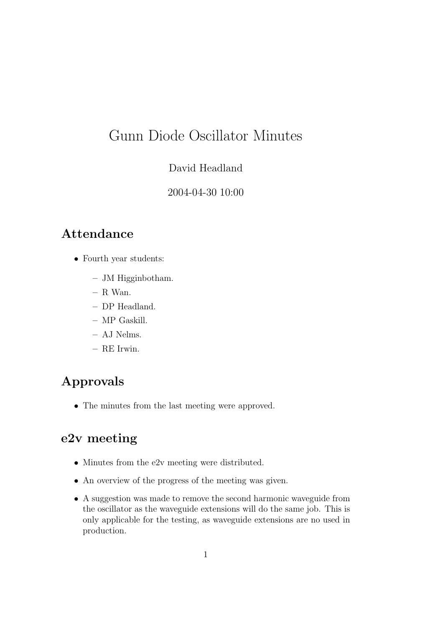# Gunn Diode Oscillator Minutes

#### David Headland

#### 2004-04-30 10:00

### Attendance

- Fourth year students:
	- JM Higginbotham.
	- $-$  R Wan.
	- DP Headland.
	- MP Gaskill.
	- AJ Nelms.
	- RE Irwin.

## Approvals

• The minutes from the last meeting were approved.

### e2v meeting

- Minutes from the e2v meeting were distributed.
- An overview of the progress of the meeting was given.
- A suggestion was made to remove the second harmonic waveguide from the oscillator as the waveguide extensions will do the same job. This is only applicable for the testing, as waveguide extensions are no used in production.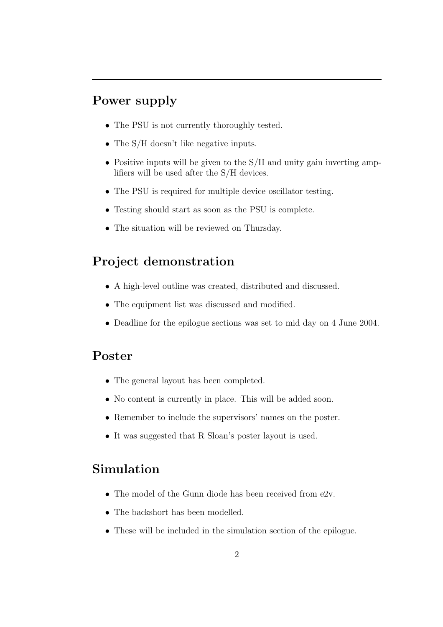## Power supply

- The PSU is not currently thoroughly tested.
- The S/H doesn't like negative inputs.
- Positive inputs will be given to the S/H and unity gain inverting amplifiers will be used after the S/H devices.
- The PSU is required for multiple device oscillator testing.
- Testing should start as soon as the PSU is complete.
- The situation will be reviewed on Thursday.

### Project demonstration

- A high-level outline was created, distributed and discussed.
- The equipment list was discussed and modified.
- Deadline for the epilogue sections was set to mid day on 4 June 2004.

#### Poster

- The general layout has been completed.
- No content is currently in place. This will be added soon.
- Remember to include the supervisors' names on the poster.
- It was suggested that R Sloan's poster layout is used.

#### Simulation

- The model of the Gunn diode has been received from e2v.
- The backshort has been modelled.
- These will be included in the simulation section of the epilogue.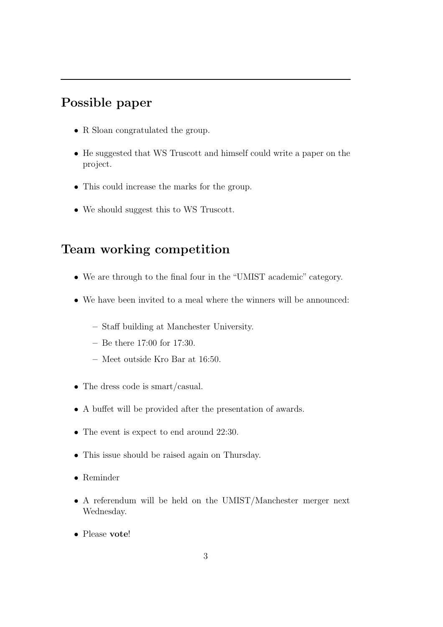### Possible paper

- R Sloan congratulated the group.
- He suggested that WS Truscott and himself could write a paper on the project.
- This could increase the marks for the group.
- We should suggest this to WS Truscott.

#### Team working competition

- We are through to the final four in the "UMIST academic" category.
- We have been invited to a meal where the winners will be announced:
	- Staff building at Manchester University.
	- Be there 17:00 for 17:30.
	- Meet outside Kro Bar at 16:50.
- The dress code is smart/casual.
- A buffet will be provided after the presentation of awards.
- The event is expect to end around 22:30.
- This issue should be raised again on Thursday.
- Reminder
- A referendum will be held on the UMIST/Manchester merger next Wednesday.
- Please vote!